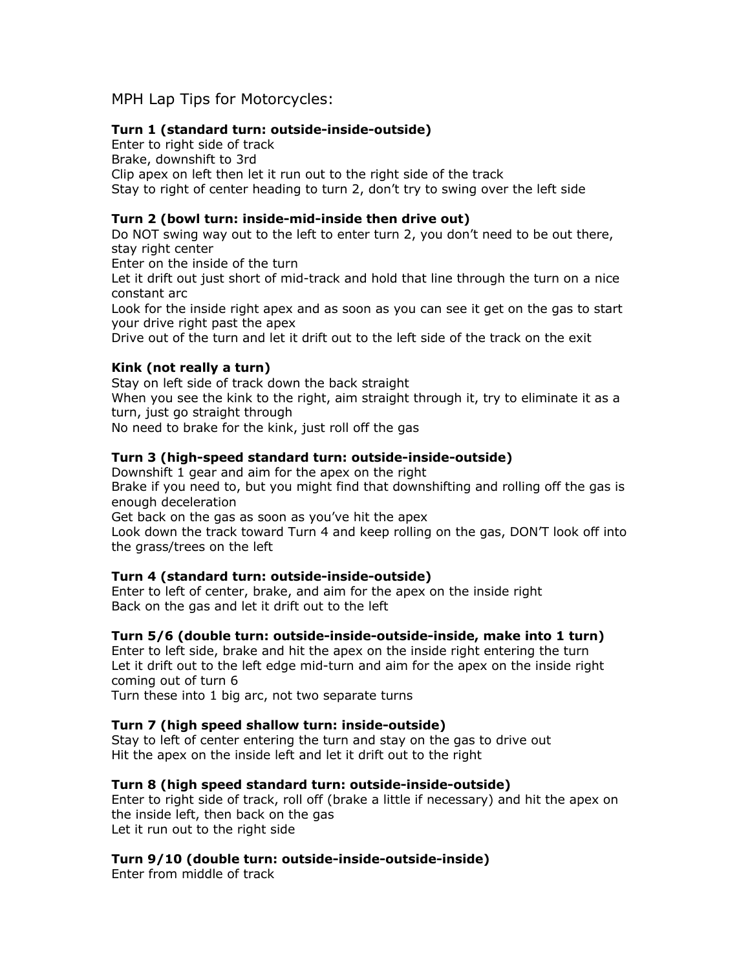# MPH Lap Tips for Motorcycles:

## **Turn 1 (standard turn: outside-inside-outside)**

Enter to right side of track Brake, downshift to 3rd Clip apex on left then let it run out to the right side of the track Stay to right of center heading to turn 2, don't try to swing over the left side

## **Turn 2 (bowl turn: inside-mid-inside then drive out)**

Do NOT swing way out to the left to enter turn 2, you don't need to be out there, stay right center

Enter on the inside of the turn

Let it drift out just short of mid-track and hold that line through the turn on a nice constant arc

Look for the inside right apex and as soon as you can see it get on the gas to start your drive right past the apex

Drive out of the turn and let it drift out to the left side of the track on the exit

# **Kink (not really a turn)**

Stay on left side of track down the back straight When you see the kink to the right, aim straight through it, try to eliminate it as a turn, just go straight through No need to brake for the kink, just roll off the gas

# **Turn 3 (high-speed standard turn: outside-inside-outside)**

Downshift 1 gear and aim for the apex on the right Brake if you need to, but you might find that downshifting and rolling off the gas is enough deceleration

Get back on the gas as soon as you've hit the apex

Look down the track toward Turn 4 and keep rolling on the gas, DON'T look off into the grass/trees on the left

#### **Turn 4 (standard turn: outside-inside-outside)**

Enter to left of center, brake, and aim for the apex on the inside right Back on the gas and let it drift out to the left

#### **Turn 5/6 (double turn: outside-inside-outside-inside, make into 1 turn)**

Enter to left side, brake and hit the apex on the inside right entering the turn Let it drift out to the left edge mid-turn and aim for the apex on the inside right coming out of turn 6

Turn these into 1 big arc, not two separate turns

#### **Turn 7 (high speed shallow turn: inside-outside)**

Stay to left of center entering the turn and stay on the gas to drive out Hit the apex on the inside left and let it drift out to the right

#### **Turn 8 (high speed standard turn: outside-inside-outside)**

Enter to right side of track, roll off (brake a little if necessary) and hit the apex on the inside left, then back on the gas Let it run out to the right side

#### **Turn 9/10 (double turn: outside-inside-outside-inside)**

Enter from middle of track